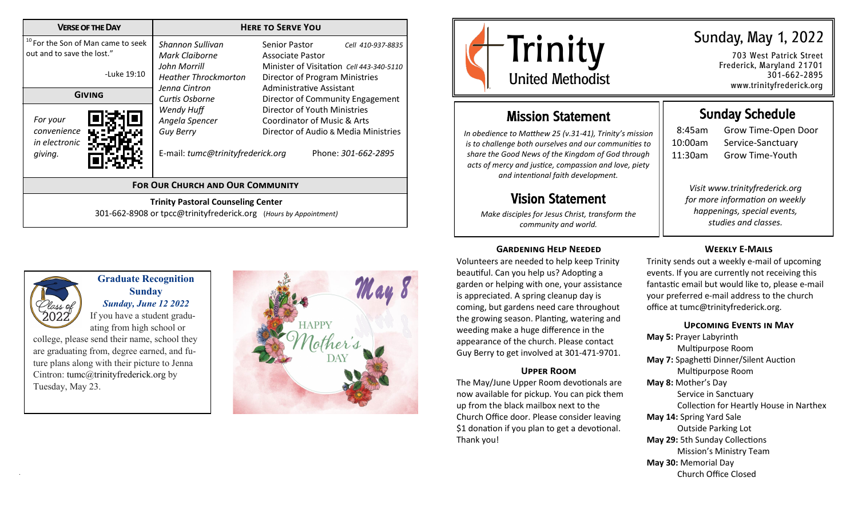| <b>VERSE OF THE DAY</b>                                                                                                                                            | <b>HERE TO SERVE YOU</b>                                                                                                                                                                                      |                                                                                                                                                                                                                                                                                                                                    |  |  |
|--------------------------------------------------------------------------------------------------------------------------------------------------------------------|---------------------------------------------------------------------------------------------------------------------------------------------------------------------------------------------------------------|------------------------------------------------------------------------------------------------------------------------------------------------------------------------------------------------------------------------------------------------------------------------------------------------------------------------------------|--|--|
| <sup>10</sup> For the Son of Man came to seek<br>out and to save the lost."<br>-Luke 19:10<br><b>GIVING</b><br>For your<br>convenience<br>in electronic<br>giving. | Shannon Sullivan<br>Mark Claiborne<br>John Morrill<br><b>Heather Throckmorton</b><br>Jenna Cintron<br>Curtis Osborne<br>Wendy Huff<br>Angela Spencer<br><b>Guy Berry</b><br>E-mail: tumc@trinityfrederick.org | Senior Pastor<br>Cell 410-937-8835<br>Associate Pastor<br>Minister of Visitation Cell 443-340-5110<br>Director of Program Ministries<br>Administrative Assistant<br>Director of Community Engagement<br>Director of Youth Ministries<br>Coordinator of Music & Arts<br>Director of Audio & Media Ministries<br>Phone: 301-662-2895 |  |  |
| <b>FOR OUR CHURCH AND OUR COMMUNITY</b>                                                                                                                            |                                                                                                                                                                                                               |                                                                                                                                                                                                                                                                                                                                    |  |  |
| <b>Trinity Pastoral Counseling Center</b><br>301-662-8908 or tpcc@trinityfrederick.org (Hours by Appointment)                                                      |                                                                                                                                                                                                               |                                                                                                                                                                                                                                                                                                                                    |  |  |



## **Graduate Recognition Sunday** *Sunday, June 12 2022*

If you have a student graduating from high school or

college, please send their name, school they are graduating from, degree earned, and future plans along with their picture to Jenna Cintron: tumc@trinityfrederick.org by Tuesday, May 23.





703 West Patrick Street Frederick, Maryland 21701 301-662-2895 www.trinityfrederick.org

# Mission Statement

*In obedience to Matthew 25 (v.31-41), Trinity's mission is to challenge both ourselves and our communities to share the Good News of the Kingdom of God through acts of mercy and justice, compassion and love, piety and intentional faith development.*

# Vision Statement

*Make disciples for Jesus Christ, transform the community and world.*

### **Gardening Help Needed**

Volunteers are needed to help keep Trinity beautiful. Can you help us? Adopting a garden or helping with one, your assistance is appreciated. A spring cleanup day is coming, but gardens need care throughout the growing season. Planting, watering and weeding make a huge difference in the appearance of the church. Please contact Guy Berry to get involved at 301-471-9701.

#### **Upper Room**

The May/June Upper Room devotionals are now available for pickup. You can pick them up from the black mailbox next to the Church Office door. Please consider leaving \$1 donation if you plan to get a devotional. Thank you!

# Sunday Schedule

8:45am Grow Time-Open Door 10:00am Service-Sanctuary 11:30am Grow Time-Youth

*Visit www.trinityfrederick.org for more information on weekly happenings, special events, studies and classes.* 

#### **Weekly E-Mails**

Trinity sends out a weekly e-mail of upcoming events. If you are currently not receiving this fantastic email but would like to, please e-mail your preferred e-mail address to the church office at tumc@trinityfrederick.org.

#### **Upcoming Events in May**

**May 5:** Prayer Labyrinth Multipurpose Room **May 7:** Spaghetti Dinner/Silent Auction Multipurpose Room **May 8:** Mother's Day Service in Sanctuary Collection for Heartly House in Narthex **May 14:** Spring Yard Sale Outside Parking Lot **May 29:** 5th Sunday Collections Mission's Ministry Team **May 30:** Memorial Day Church Office Closed